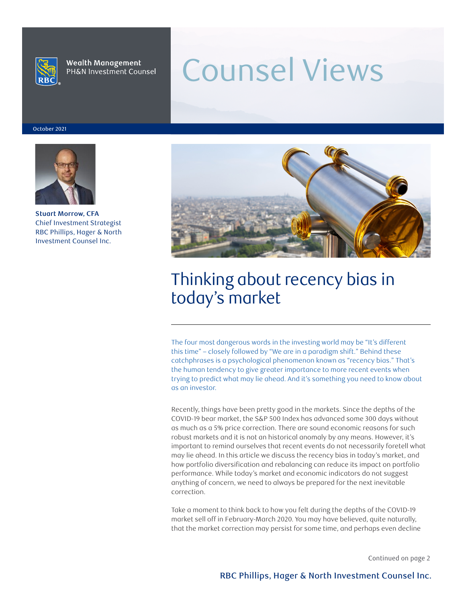

**Wealth Management** PH&N Investment Counsel

# Counsel Views

October 2021



**Stuart Morrow, CFA** Chief Investment Strategist RBC Phillips, Hager & North Investment Counsel Inc.



# Thinking about recency bias in today's market

The four most dangerous words in the investing world may be "It's different this time" – closely followed by "We are in a paradigm shift." Behind these catchphrases is a psychological phenomenon known as "recency bias." That's the human tendency to give greater importance to more recent events when trying to predict what may lie ahead. And it's something you need to know about as an investor.

Recently, things have been pretty good in the markets. Since the depths of the COVID-19 bear market, the S&P 500 Index has advanced some 300 days without as much as a 5% price correction. There are sound economic reasons for such robust markets and it is not an historical anomaly by any means. However, it's important to remind ourselves that recent events do not necessarily foretell what may lie ahead. In this article we discuss the recency bias in today's market, and how portfolio diversification and rebalancing can reduce its impact on portfolio performance. While today's market and economic indicators do not suggest anything of concern, we need to always be prepared for the next inevitable correction.

Take a moment to think back to how you felt during the depths of the COVID-19 market sell off in February-March 2020. You may have believed, quite naturally, that the market correction may persist for some time, and perhaps even decline

Continued on page 2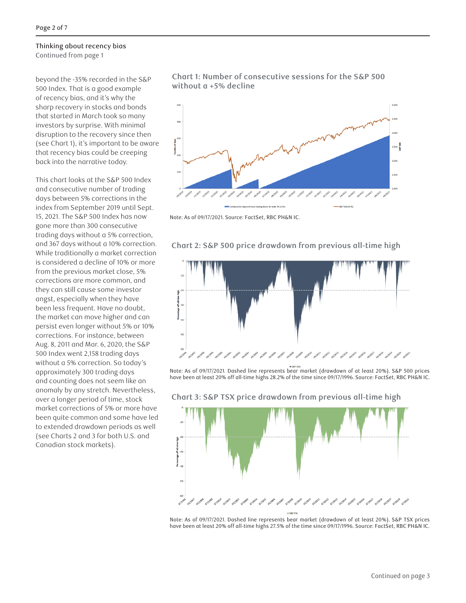beyond the -35% recorded in the S&P 500 Index. That is a good example of recency bias, and it's why the sharp recovery in stocks and bonds that started in March took so many investors by surprise. With minimal disruption to the recovery since then (see Chart 1), it's important to be aware that recency bias could be creeping back into the narrative today.

This chart looks at the S&P 500 Index and consecutive number of trading days between 5% corrections in the index from September 2019 until Sept. 15, 2021. The S&P 500 Index has now gone more than 300 consecutive trading days without a 5% correction, and 367 days without a 10% correction. While traditionally a market correction is considered a decline of 10% or more from the previous market close, 5% corrections are more common, and they can still cause some investor angst, especially when they have been less frequent. Have no doubt, the market can move higher and can persist even longer without 5% or 10% corrections. For instance, between Aug. 8, 2011 and Mar. 6, 2020, the S&P 500 Index went 2,158 trading days without a 5% correction. So today's approximately 300 trading days and counting does not seem like an anomaly by any stretch. Nevertheless, over a longer period of time, stock market corrections of 5% or more have been quite common and some have led to extended drawdown periods as well (see Charts 2 and 3 for both U.S. and Canadian stock markets).



Note: As of 09/17/2021. Source: FactSet, RBC PH&N IC.

correction.



Chart 2:  $\mathcal{S} \mathcal{S}$  500 price drawdown from previous all-time high Chart 2: S&P 500 price drawdown from previous all-time high

**Chart 3: S&P TSX price drawdown from previous all-time high**

Note: As of 09/17/2021. Dashed line represents bear market (drawdown of at least 20%). S&P 500 prices have been at least 20% off all-time highs 28.2% of the time since 09/17/1996. Source: FactSet, RBC PH&N IC.



Note: As of 09/17/2021. Dashed line represents bear market (drawdown of at least 20%). S&P TSX prices have been at least 20% off all-time highs 27.5% of the time since 09/17/1996. Source: FactSet, RBC PH&N IC.<br>.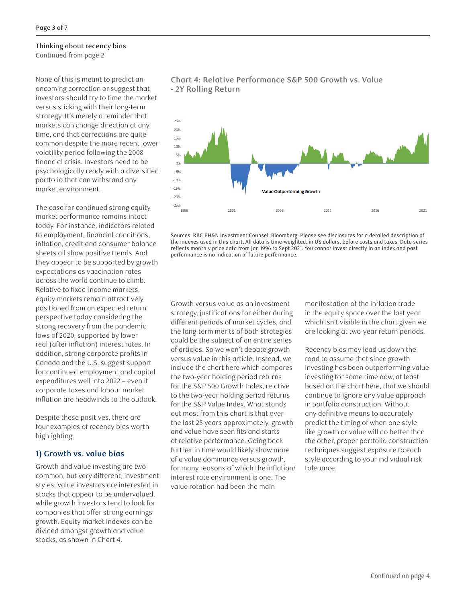None of this is meant to predict an oncoming correction or suggest that investors should try to time the market versus sticking with their long-term strategy. It's merely a reminder that markets can change direction at any time, and that corrections are quite common despite the more recent lower volatility period following the 2008 financial crisis. Investors need to be psychologically ready with a diversified portfolio that can withstand any market environment.

The case for continued strong equity market performance remains intact today. For instance, indicators related to employment, financial conditions, inflation, credit and consumer balance sheets all show positive trends. And they appear to be supported by growth expectations as vaccination rates across the world continue to climb. Relative to fixed-income markets, equity markets remain attractively positioned from an expected return perspective today considering the strong recovery from the pandemic lows of 2020, supported by lower real (after inflation) interest rates. In addition, strong corporate profits in Canada and the U.S. suggest support for continued employment and capital expenditures well into 2022 – even if corporate taxes and labour market inflation are headwinds to the outlook.

Despite these positives, there are four examples of recency bias worth highlighting.

#### **1) Growth vs. value bias**

Growth and value investing are two common, but very different, investment styles. Value investors are interested in stocks that appear to be undervalued, while growth investors tend to look for companies that offer strong earnings growth. Equity market indexes can be divided amongst growth and value stocks, as shown in Chart 4.



# **Chart 4: Relative Performance S&P 500 Growth vs. Value - 2Y Rolling Return 1) Growth vs. value bias**

pandemic lows of 2020, supported by lower real (after inflation) interest rates. In addition, strong

the indexes used in this chart. All data is time-weighted, in US dollars, before costs and taxes. Data series reflects monthly price data from Jan 1996 to Sept 2021. You cannot invest directly in an index and past performance is no indication of future performance. Sources: RBC PH&N Investment Counsel, Bloomberg. Please see disclosures for a detailed description of

strategy, justifications for either during in the equity space over the last year  $\frac{1}{2}$  years approximately, growth and value have seen fits and starts of relative performance. Going  $\frac{1}{2}$ different periods of market cycles, and which isn't visible in the chart given we the long-term merits of both strategies are looking at two-year return p could be the subject of an entire series which is in the chart which is visible in the chart which is not visible in the chart  $\alpha$ of articles. So we won't debate growth different periods of market cycles, and versus value in this article. Instead, we include the chart here which compares the two-year holding period returns for the S&P 500 Growth Index, relative to the two-year holding period returns for the S&P Value Index. What stands out most from this chart is that over the last 25 years approximately, growth and value have seen fits and starts of relative performance. Going back further in time would likely show more of a value dominance versus growth, for many reasons of which the inflation/ interest rate environment is one. The value rotation had been the main

Growth versus value as an investment manifestation of the inflation trade manifestation of the inflation trade in the equity space over the last year are looking at two-year return periods.

> Recency bias may lead us down the road to assume that since growth investing has been outperforming value investing for some time now, at least based on the chart here, that we should continue to ignore any value approach in portfolio construction. Without any definitive means to accurately predict the timing of when one style like growth or value will do better than the other, proper portfolio construction techniques suggest exposure to each style according to your individual risk tolerance.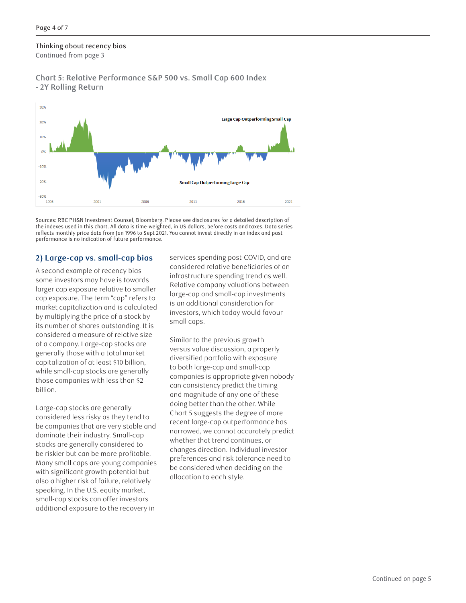#### Thinking about recency bias approach in portfolio construction. While the means to accurate means to accurate timing of when one style like growth or value will do better than the other, proper portfolio construction

Continued from page 3

#### **Chart 5: Relative Performance S&P 500 vs. Small Cap 600 Index 2) Large-cap vs. small-cap bias - 2Y Rolling Return**



Sources: RBC PH&N Investment Counsel, Bloomberg. Please see disclosures for a detailed description of reflects monthly price data from Jan 1996 to Sept 2021. You cannot invest directly in an index and past performance is no indication of future performance. the indexes used in this chart. All data is time-weighted, in US dollars, before costs and taxes. Data series

#### 2) Large-cap vs. small-cap bias 2) Large-cap vs. small-cap bias services spending post-COVID, and are

A second example of recency bias some investors may have is towards and the cap stocking that are very stock as the companies that are very sta larger cap exposure relative to smaller cap exposure. The term "cap" refers to market capitalization and is calculated by multiplying the price of a stock by **weill** its number of shares outstanding. It is considered a measure of relative size and small-cap investments in valuations is an of a company. Large-cap stocks are Similar to to generally those with a total market while small-cap stocks are generally while suggests that since cup billion. ed the industry matrix is consider the Relative company valuations between  $\epsilon$  and  $\epsilon$  are  $\epsilon$  are  $\epsilon$  are  $\epsilon$  are  $\epsilon$  and small caps investments  $\epsilon$  and  $\epsilon$  are  $\epsilon$  and  $\epsilon$  and  $\epsilon$  and  $\epsilon$  are  $\epsilon$  and  $\epsilon$  and  $\epsilon$  and  $\epsilon$  are  $\epsilon$  and  $\epsilon$  and  $\epsilon$  and  $\epsilon$  and  $\epsilon$  are  $\epsilon$  and  $\frac{1}{2}$  cop exposure. The term cup refers to  $\frac{1}{2}$  is an additional consideration for market capitalization and is calculated<br>by multiplying the price of a stock by an investors, which today would favour

Large-cap stocks are generally considered less risky as they tend to be companies that are very stable and dominate their industry. Small-cap stocks are generally considered to be riskier but can be more profitable. Many small caps are young companies with significant growth potential but also a higher risk of failure, relatively speaking. In the U.S. equity market, small-cap stocks can offer investors additional exposure to the recovery in

considered relative beneficiaries of an infrastructure spending trend as well. small caps.

capitalization of at least \$10 billion, which is approximate given no body cap and small-cap those companies with less than \$2 companies is appropriate given nobody Similar to the previous growth versus value discussion, a properly generully those with a total market<br>conitalization of at logal \$10 billion diversified portfolio with exposure to both large-cap and small-cap companies is appropriate given nobody can consistency predict the timing and magnitude of any one of these doing better than the other. While Chart 5 suggests the degree of more recent large-cap outperformance has narrowed, we cannot accurately predict whether that trend continues, or changes direction. Individual investor preferences and risk tolerance need to be considered when deciding on the allocation to each style.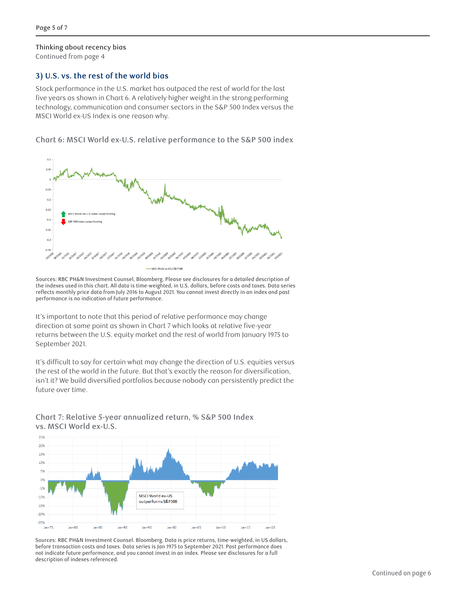# **3)** U.S. vs. the rest of the world bias

Stock performance in the U.S. market has outpaced the rest of world for the last five years as shown in Chart 6. A relatively higher weight in the strong performing technology, communication and consumer sectors in the S&P 500 Index versus the **3) U.S. vs. the rest of the world bias** MSCI World ex-US Index is one reason why.  $\mathcal{S}$  market has outpaced the U.S. market has outpaced the rest of world for the last five years as shown in

Chart 6: MSCI World ex-U.S. relative performance to the S&P 500 index



Sources: RBC PH&N Investment Counsel, Bloomberg. Please see disclosures for a detailed description of the indexes used in this chart. All data is time-weighted, in U.S. dollars, before costs and taxes. Data series reflects monthly price data from July 2016 to August 2021. You cannot invest directly in an index and past performance is no indication of future performance.

It's important to note that this period of relative performance may change direction at some point as shown in Chart 7 which looks at relative five-year returns between the U.S. equity market and the rest of world from January 1975 to<br>. in the future. But that's exactly the reason for diversification, isn't it? We build diversified portfolios September 2021.

It's difficult to say for certain what may change the direction of U.S. equities versus the rest of the world in the future. But that's exactly the reason for diversification, isn't it? We build diversified portfolios because nobody can persistently predict the future over time.

**Chart 7: Relative 5-year annualized return, % S&P 500 Index vs. MSCI World ex-U.S.**



Sources: RBC PH&N Investment Counsel. Bloomberg. Data is price returns, time-weighted, in US dollars, before transaction costs and taxes. Data series is Jan 1975 to September 2021. Past performance does before transaction costs and taxes. Data series is Jan 1975 to September 2021. Past performance does **4) Low volatility bias** description of indexes referenced. not indicate future performance, and you cannot invest in an index. Please see disclosures for a full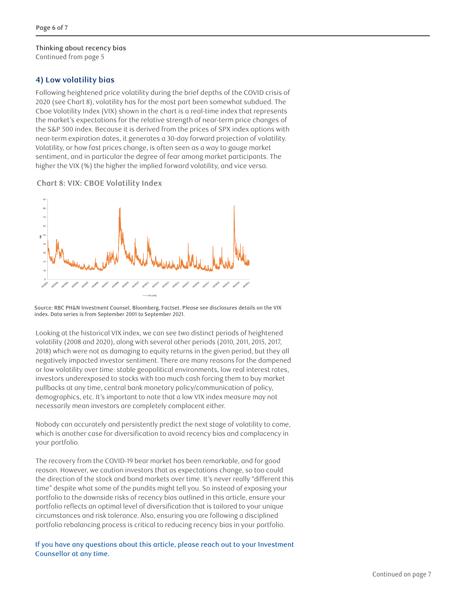## Thinking about recency bias

Continued from page 5

### 4) Low volatility bias and the state of the state of the state of the state of the state of the state of the s

Following heightened price volatility during the brief depths of the COVID crisis of 2020 (see Chart 8), volatility has for the most part been somewhat subdued. The Cboe Volatility Index (VIX) shown in the chart is a real-time index that represents the market's expectations for the relative strength of near-term price changes of the market's expectations for the relative strength of hear term price enanges of the S&P 500 index. Because it is derived from the prices of SPX index options with near-term expiration dates, it generates a 30-day forward projection of volatility. Volatility, or how fast prices change, is often seen as a way to gauge market sentiment, and in particular the degree of fear among market participants. The prices change in the VIX (%) the higher the implied forward volatility, and vice versa.  $\alpha$  sar subdimeration secure it is defined from the prices of SPX index options with ing net the vix ( $\omega$ ) the higher the implied forward volatility, and vice versa.

**Chart 8: VIX: CBOE Volatility Index** 



Source: RBC PH&N Investment Counsel, Bloomberg, Factset. Please see disclosures details on the VIX index. Data series is from September 2001 to September 2021.

Looking at the historical VIX index, we can see two distinct periods of heightened volatility (2008 and 2020), along with several other periods (2010, 2011, 2015, 2017, 2018) which were not as damaging to equity returns in the given period, but they all negatively impacted investor sentiment. There are many reasons for the dampened or low volatility over time: stable geopolitical environments, low real interest rates, investors underexposed to stocks with too much cash forcing them to buy market pullbacks at any time, central bank monetary policy/communication of policy, demographics, etc. It's important to note that a low VIX index measure may not necessarily mean investors are completely complacent either.

Nobody can accurately and persistently predict the next stage of volatility to come, which is another case for diversification to avoid recency bias and complacency in your portfolio.

The recovery from the COVID-19 bear market has been remarkable, and for good reason. However, we caution investors that as expectations change, so too could the direction of the stock and bond markets over time. It's never really "different this time" despite what some of the pundits might tell you. So instead of exposing your portfolio to the downside risks of recency bias outlined in this article, ensure your portfolio reflects an optimal level of diversification that is tailored to your unique circumstances and risk tolerance. Also, ensuring you are following a disciplined portfolio rebalancing process is critical to reducing recency bias in your portfolio.

If you have any questions about this article, please reach out to your Investment Counsellor at any time.